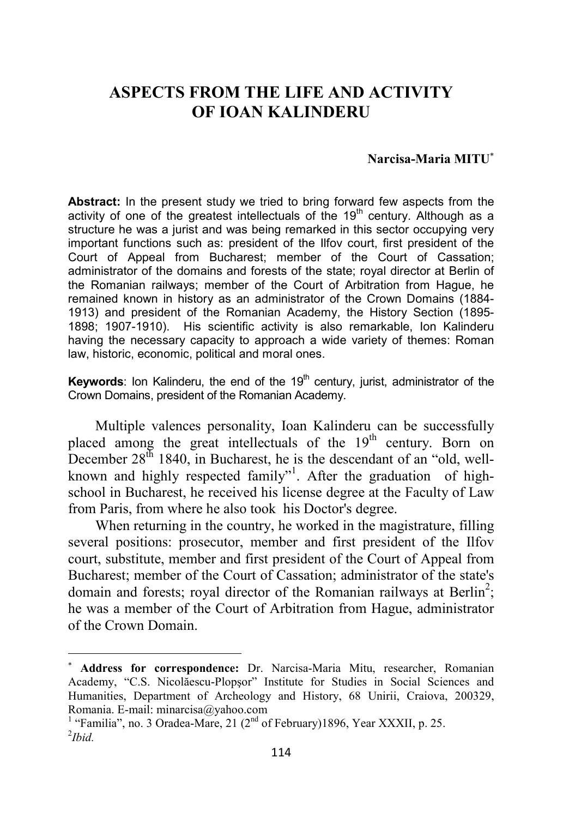## **ASPECTS FROM THE LIFE AND ACTIVITY OF IOAN KALINDERU**

## **Narcisa-Maria MITU**<sup>∗</sup>

**Abstract:** In the present study we tried to bring forward few aspects from the activity of one of the greatest intellectuals of the 19<sup>th</sup> century. Although as a structure he was a jurist and was being remarked in this sector occupying very important functions such as: president of the Ilfov court, first president of the Court of Appeal from Bucharest; member of the Court of Cassation; administrator of the domains and forests of the state; royal director at Berlin of the Romanian railways; member of the Court of Arbitration from Hague, he remained known in history as an administrator of the Crown Domains (1884- 1913) and president of the Romanian Academy, the History Section (1895- 1898; 1907-1910). His scientific activity is also remarkable, Ion Kalinderu having the necessary capacity to approach a wide variety of themes: Roman law, historic, economic, political and moral ones.

**Keywords:** Ion Kalinderu, the end of the 19<sup>th</sup> century, jurist, administrator of the Crown Domains, president of the Romanian Academy.

Multiple valences personality, Ioan Kalinderu can be successfully placed among the great intellectuals of the 19<sup>th</sup> century. Born on December  $28<sup>th</sup> 1840$ , in Bucharest, he is the descendant of an "old, wellknown and highly respected family"<sup>1</sup>. After the graduation of highschool in Bucharest, he received his license degree at the Faculty of Law from Paris, from where he also took his Doctor's degree.

When returning in the country, he worked in the magistrature, filling several positions: prosecutor, member and first president of the Ilfov court, substitute, member and first president of the Court of Appeal from Bucharest; member of the Court of Cassation; administrator of the state's domain and forests; royal director of the Romanian railways at Berlin<sup>2</sup>; he was a member of the Court of Arbitration from Hague, administrator of the Crown Domain.

<sup>∗</sup> **Address for correspondence:** Dr. Narcisa-Maria Mitu, researcher, Romanian Academy, "C.S. Nicolăescu-Plopşor" Institute for Studies in Social Sciences and Humanities, Department of Archeology and History, 68 Unirii, Craiova, 200329, Romania. E-mail: minarcisa@yahoo.com

<sup>&</sup>lt;sup>1</sup> "Familia", no. 3 Oradea-Mare, 21 ( $2<sup>nd</sup>$  of February)1896, Year XXXII, p. 25. 2 *Ibid.*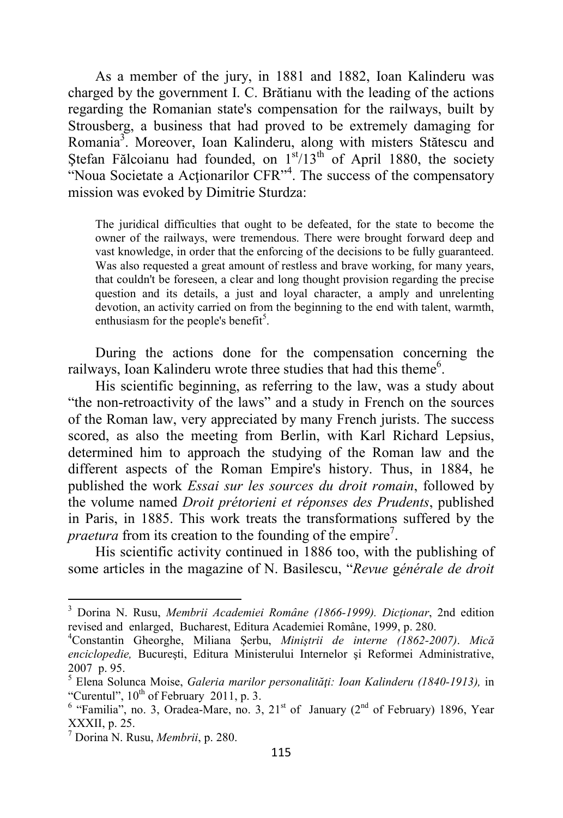As a member of the jury, in 1881 and 1882, Ioan Kalinderu was charged by the government I. C. Brătianu with the leading of the actions regarding the Romanian state's compensation for the railways, built by Strousberg, a business that had proved to be extremely damaging for Romania<sup>3</sup>. Moreover, Ioan Kalinderu, along with misters Stătescu and Ștefan Fălcoianu had founded, on  $1<sup>st</sup>/13<sup>th</sup>$  of April 1880, the society "Noua Societate a Actionarilor CFR"<sup>4</sup>. The success of the compensatory mission was evoked by Dimitrie Sturdza:

The juridical difficulties that ought to be defeated, for the state to become the owner of the railways, were tremendous. There were brought forward deep and vast knowledge, in order that the enforcing of the decisions to be fully guaranteed. Was also requested a great amount of restless and brave working, for many years, that couldn't be foreseen, a clear and long thought provision regarding the precise question and its details, a just and loyal character, a amply and unrelenting devotion, an activity carried on from the beginning to the end with talent, warmth, enthusiasm for the people's benefit<sup>5</sup>.

During the actions done for the compensation concerning the railways, Ioan Kalinderu wrote three studies that had this theme<sup>6</sup>.

His scientific beginning, as referring to the law, was a study about "the non-retroactivity of the laws" and a study in French on the sources of the Roman law, very appreciated by many French jurists. The success scored, as also the meeting from Berlin, with Karl Richard Lepsius, determined him to approach the studying of the Roman law and the different aspects of the Roman Empire's history. Thus, in 1884, he published the work *Essai sur les sources du droit romain*, followed by the volume named *Droit prétorieni et réponses des Prudents*, published in Paris, in 1885. This work treats the transformations suffered by the *praetura* from its creation to the founding of the empire<sup>7</sup>.

His scientific activity continued in 1886 too, with the publishing of some articles in the magazine of N. Basilescu, "*Revue* g*énérale de droit* 

<sup>3</sup> Dorina N. Rusu, *Membrii Academiei Române (1866-1999). Dicţionar*, 2nd edition revised and enlarged, Bucharest, Editura Academiei Române, 1999, p. 280.

<sup>4</sup>Constantin Gheorghe, Miliana Şerbu, *Miniştrii de interne (1862-2007)*. *Mică enciclopedie,* Bucureşti, Editura Ministerului Internelor şi Reformei Administrative, 2007 p. 95.

<sup>5</sup> Elena Solunca Moise, *Galeria marilor personalităţi: Ioan Kalinderu (1840-1913),* in "Curentul",  $10^{th}$  of February 2011, p. 3.

<sup>&</sup>lt;sup>6</sup> "Familia", no. 3, Oradea-Mare, no. 3,  $21<sup>st</sup>$  of January ( $2<sup>nd</sup>$  of February) 1896, Year XXXII, p. 25.

<sup>7</sup> Dorina N. Rusu, *Membrii*, p. 280.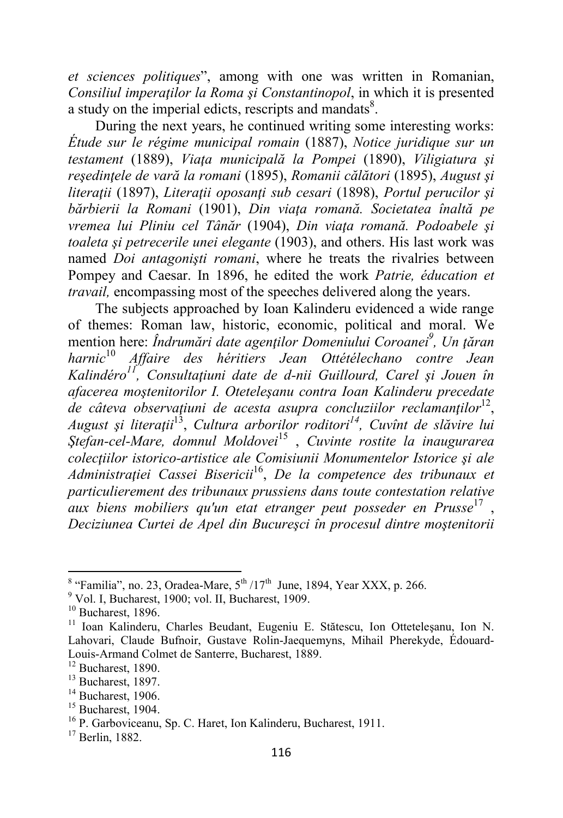*et sciences politiques*", among with one was written in Romanian, *Consiliul imperaţilor la Roma şi Constantinopol*, in which it is presented a study on the imperial edicts, rescripts and mandats<sup>8</sup>.

During the next years, he continued writing some interesting works: *Étude sur le régime municipal romain* (1887), *Notice juridique sur un testament* (1889), *Viaţa municipală la Pompei* (1890), *Viligiatura şi reşedinţele de vară la romani* (1895), *Romanii călători* (1895), *August şi literaţii* (1897), *Literaţii oposanţi sub cesari* (1898), *Portul perucilor şi bărbierii la Romani* (1901), *Din viaţa romană. Societatea înaltă pe vremea lui Pliniu cel Tânăr* (1904), *Din viaţa romană. Podoabele şi toaleta şi petrecerile unei elegante* (1903), and others. His last work was named *Doi antagonişti romani*, where he treats the rivalries between Pompey and Caesar. In 1896, he edited the work *Patrie, éducation et travail,* encompassing most of the speeches delivered along the years.

The subjects approached by Ioan Kalinderu evidenced a wide range of themes: Roman law, historic, economic, political and moral. We mention here: *Îndrumări date agenţilor Domeniului Coroanei<sup>9</sup> , Un ţăran harnic*<sup>10</sup> *Affaire des héritiers Jean Ottétélechano contre Jean Kalindéro<sup>11</sup>, Consultaţiuni date de d-nii Guillourd, Carel şi Jouen în afacerea moştenitorilor I. Oteteleşanu contra Ioan Kalinderu precedate de câteva observaţiuni de acesta asupra concluziilor reclamanţilor*<sup>12</sup> , *August şi literaţii*<sup>13</sup> , *Cultura arborilor roditori<sup>14</sup>, Cuvînt de slăvire lui Ştefan-cel-Mare, domnul Moldovei*<sup>15</sup> , *Cuvinte rostite la inaugurarea colecţiilor istorico-artistice ale Comisiunii Monumentelor Istorice şi ale Administraţiei Cassei Bisericii*<sup>16</sup> , *De la competence des tribunaux et particulierement des tribunaux prussiens dans toute contestation relative aux biens mobiliers qu'un etat etranger peut posseder en Prusse*<sup>17</sup> , *Deciziunea Curtei de Apel din Bucureşci în procesul dintre moştenitorii* 

 $^8$  "Familia", no. 23, Oradea-Mare,  $5^{\text{th}}$  /17<sup>th</sup> June, 1894, Year XXX, p. 266.

<sup>&</sup>lt;sup>9</sup> Vol. I, Bucharest, 1900; vol. II, Bucharest, 1909.

 $10$  Bucharest, 1896.

<sup>&</sup>lt;sup>11</sup> Ioan Kalinderu, Charles Beudant, Eugeniu E. Stătescu, Ion Ottetelesanu, Ion N. Lahovari, Claude Bufnoir, Gustave Rolin-Jaequemyns, Mihail Pherekyde, Édouard-Louis-Armand Colmet de Santerre, Bucharest, 1889.

 $12$  Bucharest, 1890.

<sup>&</sup>lt;sup>13</sup> Bucharest, 1897.

 $14$  Bucharest, 1906.

 $15$  Bucharest, 1904.

<sup>&</sup>lt;sup>16</sup> P. Garboviceanu, Sp. C. Haret, Ion Kalinderu, Bucharest, 1911.

 $17$  Berlin, 1882.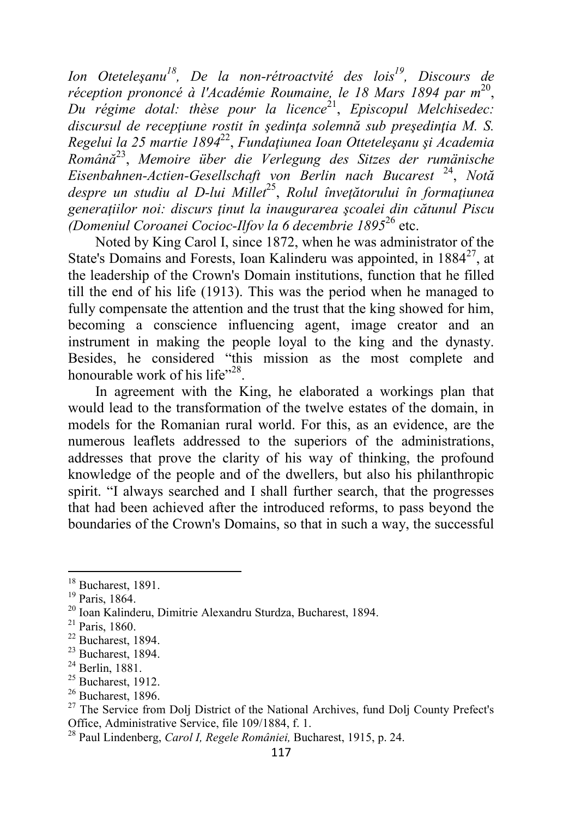*Ion Oteteleşanu<sup>18</sup>, De la non-rétroactvité des lois<sup>19</sup>, Discours de*  réception prononcé à l'Académie Roumaine, le 18 Mars 1894 par m<sup>20</sup>, Du régime dotal: thèse pour la licence<sup>21</sup>, Episcopul Melchisedec: *discursul de recepţiune rostit în şedinţa solemnă sub preşedinţia M. S. Regelui la 25 martie 1894*<sup>22</sup> , *Fundaţiunea Ioan Otteteleşanu şi Academia Română*<sup>23</sup> , *Memoire über die Verlegung des Sitzes der rumänische Eisenbahnen-Actien-Gesellschaft von Berlin nach Bucarest* <sup>24</sup> , *Notă despre un studiu al D-lui Millet*<sup>25</sup> , *Rolul înveţătorului în formaţiunea generaţiilor noi: discurs ţinut la inaugurarea şcoalei din cătunul Piscu (Domeniul Coroanei Cocioc-Ilfov la 6 decembrie 1895*<sup>26</sup> etc.

Noted by King Carol I, since 1872, when he was administrator of the State's Domains and Forests, Ioan Kalinderu was appointed, in  $1884^{27}$ , at the leadership of the Crown's Domain institutions, function that he filled till the end of his life (1913). This was the period when he managed to fully compensate the attention and the trust that the king showed for him, becoming a conscience influencing agent, image creator and an instrument in making the people loyal to the king and the dynasty. Besides, he considered "this mission as the most complete and honourable work of his life"<sup>28</sup>.

In agreement with the King, he elaborated a workings plan that would lead to the transformation of the twelve estates of the domain, in models for the Romanian rural world. For this, as an evidence, are the numerous leaflets addressed to the superiors of the administrations, addresses that prove the clarity of his way of thinking, the profound knowledge of the people and of the dwellers, but also his philanthropic spirit. "I always searched and I shall further search, that the progresses that had been achieved after the introduced reforms, to pass beyond the boundaries of the Crown's Domains, so that in such a way, the successful

<sup>&</sup>lt;sup>18</sup> Bucharest, 1891.

<sup>19</sup> Paris, 1864.

<sup>20</sup> Ioan Kalinderu, Dimitrie Alexandru Sturdza, Bucharest, 1894.

 $21$  Paris, 1860.

 $22$  Bucharest, 1894.

 $23$  Bucharest, 1894.

 $24$  Berlin, 1881.

 $25$  Bucharest, 1912.

 $26$  Bucharest, 1896.

<sup>&</sup>lt;sup>27</sup> The Service from Dolj District of the National Archives, fund Dolj County Prefect's Office, Administrative Service, file 109/1884, f. 1.

<sup>28</sup> Paul Lindenberg, *Carol I, Regele României,* Bucharest, 1915, p. 24.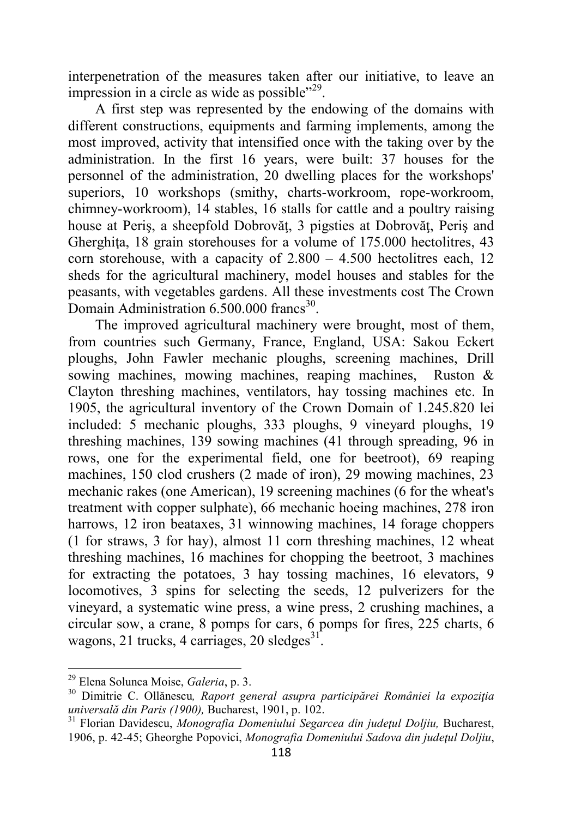interpenetration of the measures taken after our initiative, to leave an impression in a circle as wide as possible"<sup>29</sup>.

A first step was represented by the endowing of the domains with different constructions, equipments and farming implements, among the most improved, activity that intensified once with the taking over by the administration. In the first 16 years, were built: 37 houses for the personnel of the administration, 20 dwelling places for the workshops' superiors, 10 workshops (smithy, charts-workroom, rope-workroom, chimney-workroom), 14 stables, 16 stalls for cattle and a poultry raising house at Periş, a sheepfold Dobrovăţ, 3 pigsties at Dobrovăţ, Periş and Gherghița, 18 grain storehouses for a volume of 175.000 hectolitres, 43 corn storehouse, with a capacity of  $2.800 - 4.500$  hectolitres each, 12 sheds for the agricultural machinery, model houses and stables for the peasants, with vegetables gardens. All these investments cost The Crown Domain Administration  $6.500.000$  francs<sup>30</sup>.

The improved agricultural machinery were brought, most of them, from countries such Germany, France, England, USA: Sakou Eckert ploughs, John Fawler mechanic ploughs, screening machines, Drill sowing machines, mowing machines, reaping machines, Ruston & Clayton threshing machines, ventilators, hay tossing machines etc. In 1905, the agricultural inventory of the Crown Domain of 1.245.820 lei included: 5 mechanic ploughs, 333 ploughs, 9 vineyard ploughs, 19 threshing machines, 139 sowing machines (41 through spreading, 96 in rows, one for the experimental field, one for beetroot), 69 reaping machines, 150 clod crushers (2 made of iron), 29 mowing machines, 23 mechanic rakes (one American), 19 screening machines (6 for the wheat's treatment with copper sulphate), 66 mechanic hoeing machines, 278 iron harrows, 12 iron beataxes, 31 winnowing machines, 14 forage choppers (1 for straws, 3 for hay), almost 11 corn threshing machines, 12 wheat threshing machines, 16 machines for chopping the beetroot, 3 machines for extracting the potatoes, 3 hay tossing machines, 16 elevators, 9 locomotives, 3 spins for selecting the seeds, 12 pulverizers for the vineyard, a systematic wine press, a wine press, 2 crushing machines, a circular sow, a crane, 8 pomps for cars, 6 pomps for fires, 225 charts, 6 wagons, 21 trucks, 4 carriages, 20 sledges $^{31}$ .

<sup>29</sup> Elena Solunca Moise, *Galeria*, p. 3.

<sup>30</sup> Dimitrie C. Ollănescu*, Raport general asupra participărei României la expoziţia universală din Paris (1900),* Bucharest, 1901, p. 102.

<sup>31</sup> Florian Davidescu, *Monografia Domeniului Segarcea din judeţul Doljiu,* Bucharest, 1906, p. 42-45; Gheorghe Popovici, *Monografia Domeniului Sadova din judeţul Doljiu*,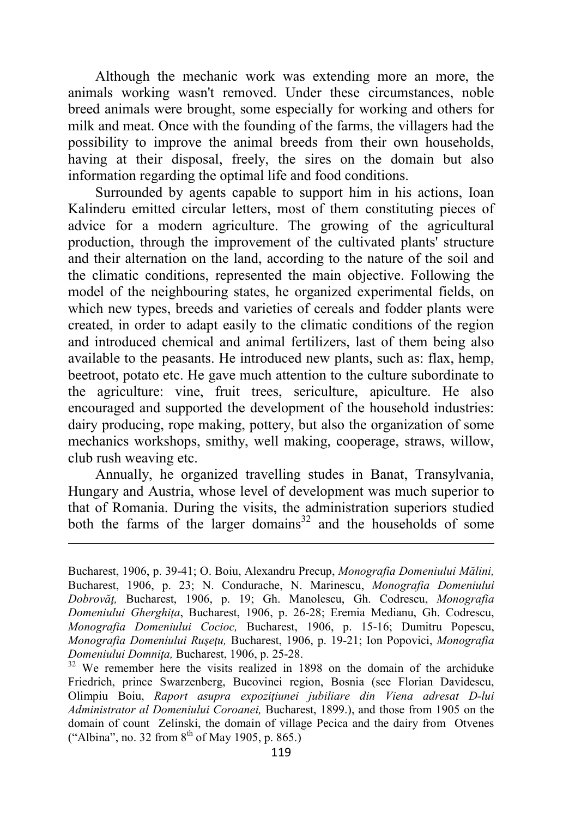Although the mechanic work was extending more an more, the animals working wasn't removed. Under these circumstances, noble breed animals were brought, some especially for working and others for milk and meat. Once with the founding of the farms, the villagers had the possibility to improve the animal breeds from their own households, having at their disposal, freely, the sires on the domain but also information regarding the optimal life and food conditions.

Surrounded by agents capable to support him in his actions, Ioan Kalinderu emitted circular letters, most of them constituting pieces of advice for a modern agriculture. The growing of the agricultural production, through the improvement of the cultivated plants' structure and their alternation on the land, according to the nature of the soil and the climatic conditions, represented the main objective. Following the model of the neighbouring states, he organized experimental fields, on which new types, breeds and varieties of cereals and fodder plants were created, in order to adapt easily to the climatic conditions of the region and introduced chemical and animal fertilizers, last of them being also available to the peasants. He introduced new plants, such as: flax, hemp, beetroot, potato etc. He gave much attention to the culture subordinate to the agriculture: vine, fruit trees, sericulture, apiculture. He also encouraged and supported the development of the household industries: dairy producing, rope making, pottery, but also the organization of some mechanics workshops, smithy, well making, cooperage, straws, willow, club rush weaving etc.

Annually, he organized travelling studes in Banat, Transylvania, Hungary and Austria, whose level of development was much superior to that of Romania. During the visits, the administration superiors studied both the farms of the larger domains $32$  and the households of some

Bucharest, 1906, p. 39-41; O. Boiu, Alexandru Precup, *Monografia Domeniului Mălini,*  Bucharest, 1906, p. 23; N. Condurache, N. Marinescu, *Monografia Domeniului Dobrovăţ,* Bucharest, 1906, p. 19; Gh. Manolescu, Gh. Codrescu, *Monografia Domeniului Gherghiţa*, Bucharest, 1906, p. 26-28; Eremia Medianu, Gh. Codrescu, *Monografia Domeniului Cocioc,* Bucharest, 1906, p. 15-16; Dumitru Popescu, *Monografia Domeniului Ruşeţu,* Bucharest, 1906, p. 19-21; Ion Popovici, *Monografia Domeniului Domniţa,* Bucharest, 1906, p. 25-28.

<sup>&</sup>lt;sup>32</sup> We remember here the visits realized in 1898 on the domain of the archiduke Friedrich, prince Swarzenberg, Bucovinei region, Bosnia (see Florian Davidescu, Olimpiu Boiu, *Raport asupra expoziţiunei jubiliare din Viena adresat D-lui Administrator al Domeniului Coroanei,* Bucharest, 1899.), and those from 1905 on the domain of count Zelinski, the domain of village Pecica and the dairy from Otvenes ("Albina", no. 32 from  $8^{th}$  of May 1905, p. 865.)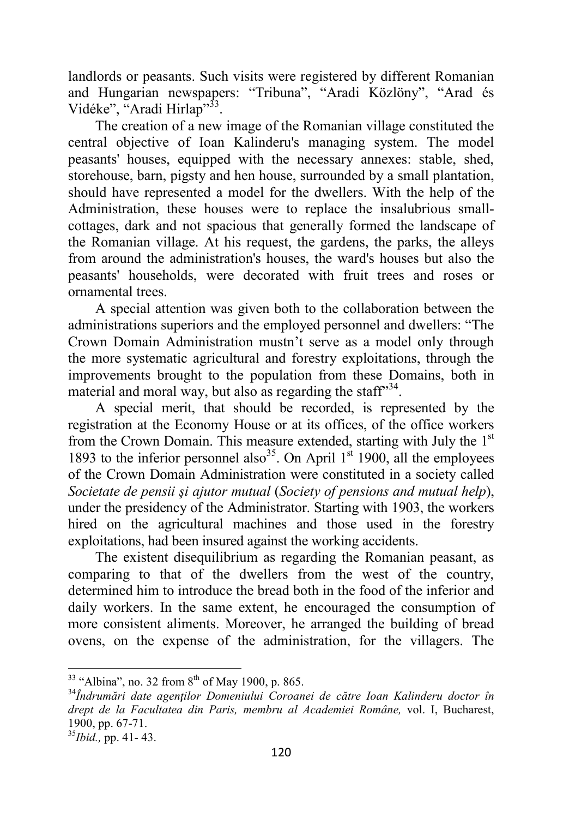landlords or peasants. Such visits were registered by different Romanian and Hungarian newspapers: "Tribuna", "Aradi Közlöny", "Arad és Vidéke", "Aradi Hirlap"<sup>33</sup>.

The creation of a new image of the Romanian village constituted the central objective of Ioan Kalinderu's managing system. The model peasants' houses, equipped with the necessary annexes: stable, shed, storehouse, barn, pigsty and hen house, surrounded by a small plantation, should have represented a model for the dwellers. With the help of the Administration, these houses were to replace the insalubrious smallcottages, dark and not spacious that generally formed the landscape of the Romanian village. At his request, the gardens, the parks, the alleys from around the administration's houses, the ward's houses but also the peasants' households, were decorated with fruit trees and roses or ornamental trees.

A special attention was given both to the collaboration between the administrations superiors and the employed personnel and dwellers: "The Crown Domain Administration mustn't serve as a model only through the more systematic agricultural and forestry exploitations, through the improvements brought to the population from these Domains, both in material and moral way, but also as regarding the staff $134$ .

A special merit, that should be recorded, is represented by the registration at the Economy House or at its offices, of the office workers from the Crown Domain. This measure extended, starting with July the  $1<sup>st</sup>$ 1893 to the inferior personnel also<sup>35</sup>. On April  $1<sup>st</sup>$  1900, all the employees of the Crown Domain Administration were constituted in a society called *Societate de pensii şi ajutor mutual* (*Society of pensions and mutual help*), under the presidency of the Administrator. Starting with 1903, the workers hired on the agricultural machines and those used in the forestry exploitations, had been insured against the working accidents.

The existent disequilibrium as regarding the Romanian peasant, as comparing to that of the dwellers from the west of the country, determined him to introduce the bread both in the food of the inferior and daily workers. In the same extent, he encouraged the consumption of more consistent aliments. Moreover, he arranged the building of bread ovens, on the expense of the administration, for the villagers. The

 $33$  "Albina", no. 32 from  $8^{th}$  of May 1900, p. 865.

<sup>34</sup>*Îndrumări date agenţilor Domeniului Coroanei de către Ioan Kalinderu doctor în drept de la Facultatea din Paris, membru al Academiei Române,* vol. I, Bucharest, 1900, pp. 67-71.

<sup>35</sup>*Ibid.,* pp. 41- 43.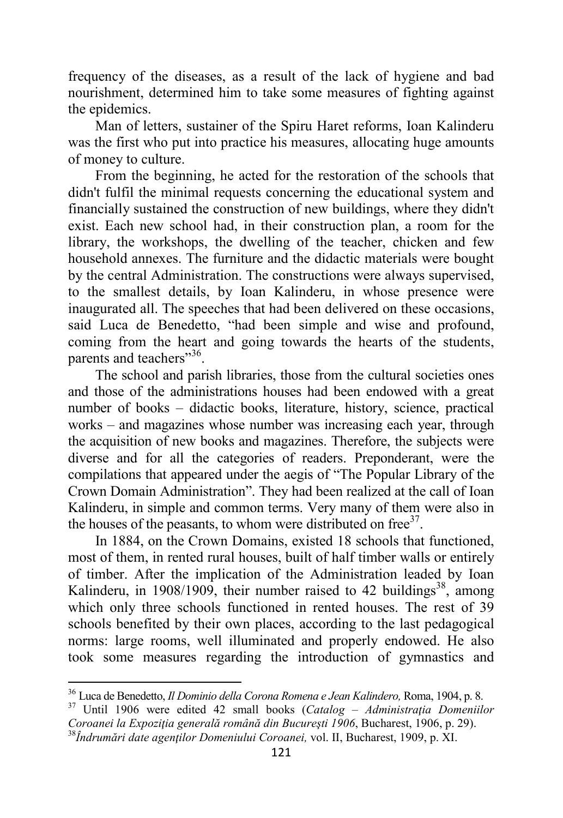frequency of the diseases, as a result of the lack of hygiene and bad nourishment, determined him to take some measures of fighting against the epidemics.

Man of letters, sustainer of the Spiru Haret reforms, Ioan Kalinderu was the first who put into practice his measures, allocating huge amounts of money to culture.

From the beginning, he acted for the restoration of the schools that didn't fulfil the minimal requests concerning the educational system and financially sustained the construction of new buildings, where they didn't exist. Each new school had, in their construction plan, a room for the library, the workshops, the dwelling of the teacher, chicken and few household annexes. The furniture and the didactic materials were bought by the central Administration. The constructions were always supervised, to the smallest details, by Ioan Kalinderu, in whose presence were inaugurated all. The speeches that had been delivered on these occasions, said Luca de Benedetto, "had been simple and wise and profound, coming from the heart and going towards the hearts of the students, parents and teachers"<sup>36</sup>.

The school and parish libraries, those from the cultural societies ones and those of the administrations houses had been endowed with a great number of books – didactic books, literature, history, science, practical works – and magazines whose number was increasing each year, through the acquisition of new books and magazines. Therefore, the subjects were diverse and for all the categories of readers. Preponderant, were the compilations that appeared under the aegis of "The Popular Library of the Crown Domain Administration". They had been realized at the call of Ioan Kalinderu, in simple and common terms. Very many of them were also in the houses of the peasants, to whom were distributed on free $^{37}$ .

In 1884, on the Crown Domains, existed 18 schools that functioned, most of them, in rented rural houses, built of half timber walls or entirely of timber. After the implication of the Administration leaded by Ioan Kalinderu, in 1908/1909, their number raised to 42 buildings<sup>38</sup>, among which only three schools functioned in rented houses. The rest of 39 schools benefited by their own places, according to the last pedagogical norms: large rooms, well illuminated and properly endowed. He also took some measures regarding the introduction of gymnastics and

<sup>36</sup> Luca de Benedetto, *Il Dominio della Corona Romena e Jean Kalindero,* Roma, 1904, p. 8.

<sup>37</sup> Until 1906 were edited 42 small books (*Catalog – Administraţia Domeniilor Coroanei la Expoziţia generală română din Bucureşti 1906*, Bucharest, 1906, p. 29). <sup>38</sup>*Îndrumări date agenţilor Domeniului Coroanei,* vol. II, Bucharest, 1909, p. XI.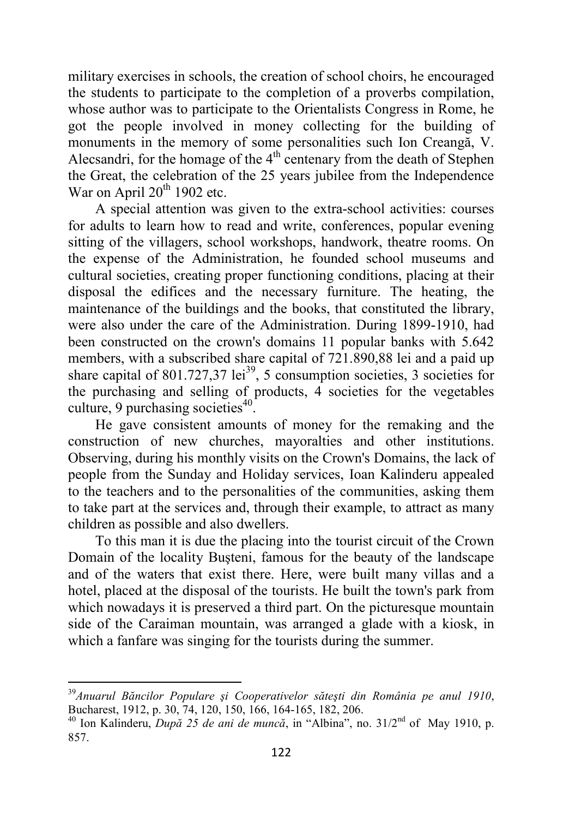military exercises in schools, the creation of school choirs, he encouraged the students to participate to the completion of a proverbs compilation, whose author was to participate to the Orientalists Congress in Rome, he got the people involved in money collecting for the building of monuments in the memory of some personalities such Ion Creangă, V. Alecsandri, for the homage of the  $4<sup>th</sup>$  centenary from the death of Stephen the Great, the celebration of the 25 years jubilee from the Independence War on April  $20^{th}$  1902 etc.

A special attention was given to the extra-school activities: courses for adults to learn how to read and write, conferences, popular evening sitting of the villagers, school workshops, handwork, theatre rooms. On the expense of the Administration, he founded school museums and cultural societies, creating proper functioning conditions, placing at their disposal the edifices and the necessary furniture. The heating, the maintenance of the buildings and the books, that constituted the library, were also under the care of the Administration. During 1899-1910, had been constructed on the crown's domains 11 popular banks with 5.642 members, with a subscribed share capital of 721.890,88 lei and a paid up share capital of 801.727,37 lei<sup>39</sup>, 5 consumption societies, 3 societies for the purchasing and selling of products, 4 societies for the vegetables culture, 9 purchasing societies $40$ .

He gave consistent amounts of money for the remaking and the construction of new churches, mayoralties and other institutions. Observing, during his monthly visits on the Crown's Domains, the lack of people from the Sunday and Holiday services, Ioan Kalinderu appealed to the teachers and to the personalities of the communities, asking them to take part at the services and, through their example, to attract as many children as possible and also dwellers.

To this man it is due the placing into the tourist circuit of the Crown Domain of the locality Buşteni, famous for the beauty of the landscape and of the waters that exist there. Here, were built many villas and a hotel, placed at the disposal of the tourists. He built the town's park from which nowadays it is preserved a third part. On the picturesque mountain side of the Caraiman mountain, was arranged a glade with a kiosk, in which a fanfare was singing for the tourists during the summer.

<sup>39</sup>*Anuarul Băncilor Populare şi Cooperativelor săteşti din România pe anul 1910*, Bucharest, 1912, p. 30, 74, 120, 150, 166, 164-165, 182, 206.

<sup>40</sup> Ion Kalinderu, *După 25 de ani de muncă*, in "Albina", no. 31/2nd of May 1910, p. 857.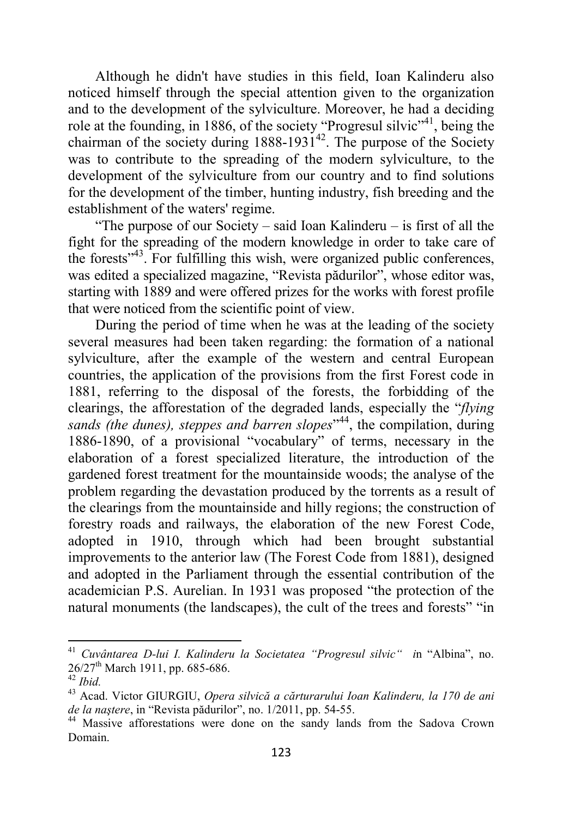Although he didn't have studies in this field, Ioan Kalinderu also noticed himself through the special attention given to the organization and to the development of the sylviculture. Moreover, he had a deciding role at the founding, in 1886, of the society "Progresul silvic"<sup>41</sup>, being the chairman of the society during  $1888-1931^{42}$ . The purpose of the Society was to contribute to the spreading of the modern sylviculture, to the development of the sylviculture from our country and to find solutions for the development of the timber, hunting industry, fish breeding and the establishment of the waters' regime.

"The purpose of our Society – said Ioan Kalinderu – is first of all the fight for the spreading of the modern knowledge in order to take care of the forests"<sup>43</sup>. For fulfilling this wish, were organized public conferences, was edited a specialized magazine, "Revista pădurilor", whose editor was, starting with 1889 and were offered prizes for the works with forest profile that were noticed from the scientific point of view.

During the period of time when he was at the leading of the society several measures had been taken regarding: the formation of a national sylviculture, after the example of the western and central European countries, the application of the provisions from the first Forest code in 1881, referring to the disposal of the forests, the forbidding of the clearings, the afforestation of the degraded lands, especially the "*flying*  sands (the dunes), steppes and barren slopes<sup>144</sup>, the compilation, during 1886-1890, of a provisional "vocabulary" of terms, necessary in the elaboration of a forest specialized literature, the introduction of the gardened forest treatment for the mountainside woods; the analyse of the problem regarding the devastation produced by the torrents as a result of the clearings from the mountainside and hilly regions; the construction of forestry roads and railways, the elaboration of the new Forest Code, adopted in 1910, through which had been brought substantial improvements to the anterior law (The Forest Code from 1881), designed and adopted in the Parliament through the essential contribution of the academician P.S. Aurelian. In 1931 was proposed "the protection of the natural monuments (the landscapes), the cult of the trees and forests" "in

<sup>41</sup> *Cuvântarea D-lui I. Kalinderu la Societatea "Progresul silvic" i*n "Albina", no.  $26/27$ <sup>th</sup> March 1911, pp. 685-686.

<sup>42</sup> *Ibid.*

<sup>43</sup> Acad. Victor GIURGIU, *Opera silvică a cărturarului Ioan Kalinderu, la 170 de ani de la naştere*, in "Revista pădurilor", no. 1/2011, pp. 54-55.

<sup>&</sup>lt;sup>44</sup> Massive afforestations were done on the sandy lands from the Sadova Crown Domain.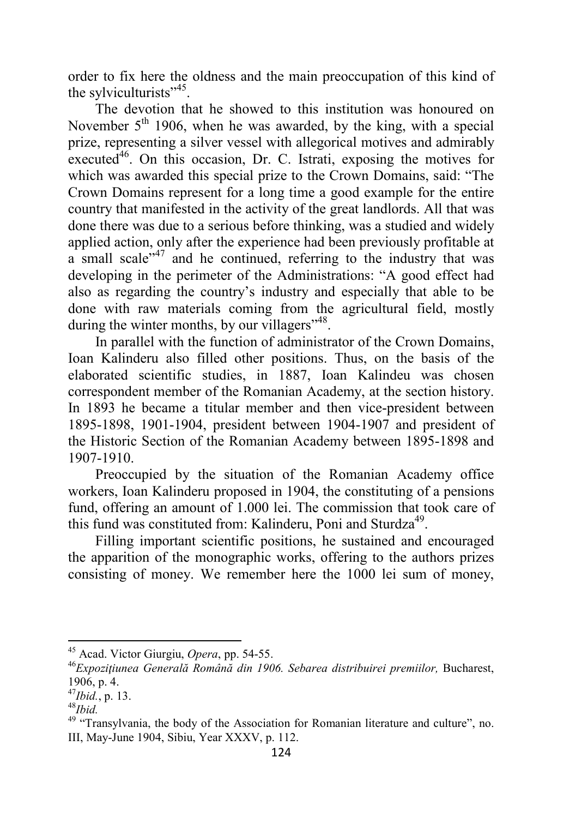order to fix here the oldness and the main preoccupation of this kind of the sylviculturists"<sup>45</sup>.

The devotion that he showed to this institution was honoured on November  $5<sup>th</sup>$  1906, when he was awarded, by the king, with a special prize, representing a silver vessel with allegorical motives and admirably executed $46$ . On this occasion, Dr. C. Istrati, exposing the motives for which was awarded this special prize to the Crown Domains, said: "The Crown Domains represent for a long time a good example for the entire country that manifested in the activity of the great landlords. All that was done there was due to a serious before thinking, was a studied and widely applied action, only after the experience had been previously profitable at a small scale<sup> $147$ </sup> and he continued, referring to the industry that was developing in the perimeter of the Administrations: "A good effect had also as regarding the country's industry and especially that able to be done with raw materials coming from the agricultural field, mostly during the winter months, by our villagers"<sup>48</sup>.

In parallel with the function of administrator of the Crown Domains, Ioan Kalinderu also filled other positions. Thus, on the basis of the elaborated scientific studies, in 1887, Ioan Kalindeu was chosen correspondent member of the Romanian Academy, at the section history. In 1893 he became a titular member and then vice-president between 1895-1898, 1901-1904, president between 1904-1907 and president of the Historic Section of the Romanian Academy between 1895-1898 and 1907-1910.

Preoccupied by the situation of the Romanian Academy office workers, Ioan Kalinderu proposed in 1904, the constituting of a pensions fund, offering an amount of 1.000 lei. The commission that took care of this fund was constituted from: Kalinderu, Poni and Sturdza<sup>49</sup>.

Filling important scientific positions, he sustained and encouraged the apparition of the monographic works, offering to the authors prizes consisting of money. We remember here the 1000 lei sum of money,

<sup>45</sup> Acad. Victor Giurgiu, *Opera*, pp. 54-55.

<sup>46</sup>*Expoziţiunea Generală Română din 1906. Sebarea distribuirei premiilor,* Bucharest, 1906, p. 4.

<sup>47</sup>*Ibid.*, p. 13.

<sup>48</sup>*Ibid.* 

<sup>&</sup>lt;sup>49</sup> "Transylvania, the body of the Association for Romanian literature and culture", no. III, May-June 1904, Sibiu, Year XXXV, p. 112.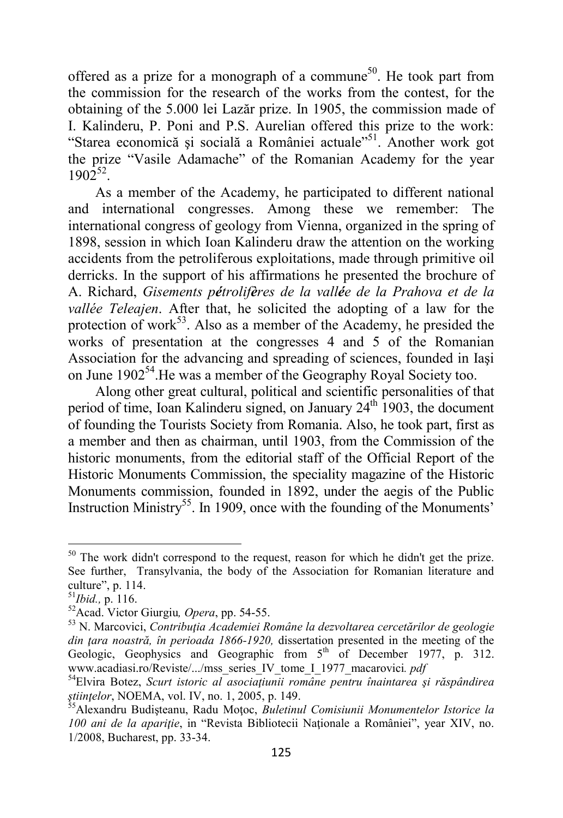offered as a prize for a monograph of a commune<sup>50</sup>. He took part from the commission for the research of the works from the contest, for the obtaining of the 5.000 lei Lazăr prize. In 1905, the commission made of I. Kalinderu, P. Poni and P.S. Aurelian offered this prize to the work: "Starea economică şi socială a României actuale"<sup>51</sup>. Another work got the prize "Vasile Adamache" of the Romanian Academy for the year  $1902^{52}$ .

As a member of the Academy, he participated to different national and international congresses. Among these we remember: The international congress of geology from Vienna, organized in the spring of 1898, session in which Ioan Kalinderu draw the attention on the working accidents from the petroliferous exploitations, made through primitive oil derricks. In the support of his affirmations he presented the brochure of A. Richard, *Gisements pétrolifères de la vallée de la Prahova et de la vallée Teleajen*. After that, he solicited the adopting of a law for the protection of work<sup>53</sup>. Also as a member of the Academy, he presided the works of presentation at the congresses 4 and 5 of the Romanian Association for the advancing and spreading of sciences, founded in Iaşi on June 1902<sup>54</sup>. He was a member of the Geography Royal Society too.

Along other great cultural, political and scientific personalities of that period of time, Ioan Kalinderu signed, on January 24<sup>th</sup> 1903, the document of founding the Tourists Society from Romania. Also, he took part, first as a member and then as chairman, until 1903, from the Commission of the historic monuments, from the editorial staff of the Official Report of the Historic Monuments Commission, the speciality magazine of the Historic Monuments commission, founded in 1892, under the aegis of the Public Instruction Ministry<sup>55</sup>. In 1909, once with the founding of the Monuments'

 $50$  The work didn't correspond to the request, reason for which he didn't get the prize. See further, Transylvania, the body of the Association for Romanian literature and culture", p. 114.

<sup>51</sup>*Ibid.,* p. 116.

<sup>52</sup>Acad. Victor Giurgiu*, Opera*, pp. 54-55.

<sup>53</sup> N. Marcovici, *Contribuţia Academiei Române la dezvoltarea cercetărilor de geologie*  din tara noastră, în perioada 1866-1920, dissertation presented in the meeting of the Geologic, Geophysics and Geographic from  $5<sup>th</sup>$  of December 1977, p. 312. www.acadiasi.ro/Reviste/.../mss\_series\_IV\_tome\_I\_1977\_macarovici*. pdf* 

<sup>54</sup>Elvira Botez, *Scurt istoric al asociaţiunii române pentru înaintarea şi răspândirea ştiinţelor*, NOEMA, vol. IV, no. 1, 2005, p. 149.

<sup>55</sup>Alexandru Budişteanu, Radu Moţoc, *Buletinul Comisiunii Monumentelor Istorice la 100 ani de la apariție*, in "Revista Bibliotecii Naționale a României", year XIV, no. 1/2008, Bucharest, pp. 33-34.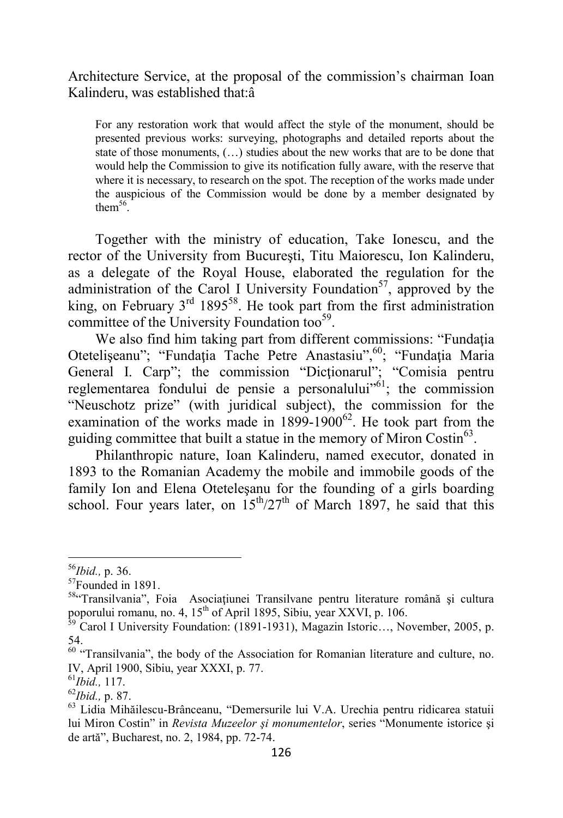## Architecture Service, at the proposal of the commission's chairman Ioan Kalinderu, was established that:â

For any restoration work that would affect the style of the monument, should be presented previous works: surveying, photographs and detailed reports about the state of those monuments, (…) studies about the new works that are to be done that would help the Commission to give its notification fully aware, with the reserve that where it is necessary, to research on the spot. The reception of the works made under the auspicious of the Commission would be done by a member designated by them $^{56}$ .

Together with the ministry of education, Take Ionescu, and the rector of the University from Bucureşti, Titu Maiorescu, Ion Kalinderu, as a delegate of the Royal House, elaborated the regulation for the administration of the Carol I University Foundation<sup>57</sup>, approved by the king, on February  $3<sup>rd</sup> 1895<sup>58</sup>$ . He took part from the first administration committee of the University Foundation too<sup>59</sup>.

We also find him taking part from different commissions: "Fundația" Otetelişeanu"; "Fundația Tache Petre Anastasiu",<sup>60</sup>; "Fundația Maria General I. Carp"; the commission "Dicţionarul"; "Comisia pentru reglementarea fondului de pensie a personalului<sup> $10^{61}$ </sup>; the commission "Neuschotz prize" (with juridical subject), the commission for the examination of the works made in  $1899-1900^{62}$ . He took part from the guiding committee that built a statue in the memory of Miron Costin<sup>63</sup>.

Philanthropic nature, Ioan Kalinderu, named executor, donated in 1893 to the Romanian Academy the mobile and immobile goods of the family Ion and Elena Oteteleşanu for the founding of a girls boarding school. Four years later, on  $15^{th}/27^{th}$  of March 1897, he said that this

<sup>56</sup>*Ibid.,* p. 36.

<sup>57</sup>Founded in 1891.

<sup>&</sup>lt;sup>58</sup>"Transilvania", Foia Asociatiunei Transilvane pentru literature română și cultura poporului romanu, no. 4, 15<sup>th</sup> of April 1895, Sibiu, year XXVI, p. 106.

<sup>&</sup>lt;sup>59</sup> Carol I University Foundation: (1891-1931), Magazin Istoric..., November, 2005, p. 54.

<sup>&</sup>lt;sup>60</sup> "Transilvania", the body of the Association for Romanian literature and culture, no. IV, April 1900, Sibiu, year XXXI, p. 77.

<sup>61</sup>*Ibid.,* 117.

<sup>62</sup>*Ibid.,* p. 87.

<sup>63</sup> Lidia Mihăilescu-Brânceanu, "Demersurile lui V.A. Urechia pentru ridicarea statuii lui Miron Costin" in *Revista Muzeelor şi monumentelor*, series "Monumente istorice şi de artă", Bucharest, no. 2, 1984, pp. 72-74.